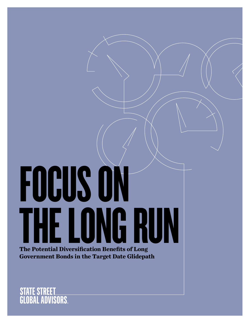# FOCUS ON THE LONG RUN **The Potential Diversification Benefits of Long**

**Government Bonds in the Target Date Glidepath**

**STATE STREET<br>GLOBAL ADVISORS.**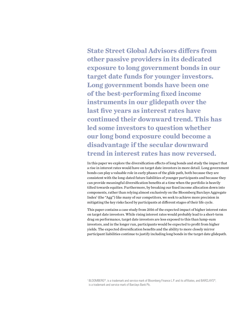**State Street Global Advisors differs from other passive providers in its dedicated exposure to long government bonds in our target date funds for younger investors. Long government bonds have been one of the best-performing fixed income instruments in our glidepath over the last five years as interest rates have continued their downward trend. This has led some investors to question whether our long bond exposure could become a disadvantage if the secular downward trend in interest rates has now reversed.** 

In this paper we explore the diversification effects of long bonds and study the impact that a rise in interest rates would have on target date investors in more detail. Long government bonds can play a valuable role in early phases of the glide path, both because they are consistent with the long-dated future liabilities of younger participants and because they can provide meaningful diversification benefits at a time when the portfolio is heavily tilted towards equities. Furthermore, by breaking our fixed income allocation down into components, rather than relying almost exclusively on the Bloomberg Barclays Aggregate Index<sup>1</sup> (the "Agg") like many of our competitors, we seek to achieve more precision in mitigating the key risks faced by participants at different stages of their life cycle.

This paper contains a case study from 2016 of the expected impact of higher interest rates on target date investors. While rising interest rates would probably lead to a short-term drag on performance, target date investors are less exposed to this than lump-sum investors, and in the longer run, participants would be expected to profit from higher yields. The expected diversification benefits and the ability to more closely mirror participant liabilities continue to justify including long bonds in the target date glidepath.

<sup>1</sup> BLOOMBERG®, is a trademark and service mark of Bloomberg Finance L.P. and its affiliates, and BARCLAYS®, is a trademark and service mark of Barclays Bank Plc.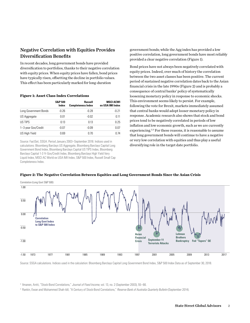# Negative Correlation with Equities Provides Diversification Benefits

In recent decades, long government bonds have provided diversification to portfolios, thanks to their negative correlation with equity prices. When equity prices have fallen, bond prices have typically risen, offsetting the decline in portfolio values. This effect has been particularly marked for long-duration

#### **Figure 1: Asset Class Index Correlations**

|                       | <b>S&amp;P 500</b><br>Index | Russell<br><b>Completeness Index</b> | <b>MSCI ACWI</b><br>ex USA IMI Index |
|-----------------------|-----------------------------|--------------------------------------|--------------------------------------|
| Long Government Bonds | $-0.26$                     | $-0.28$                              | $-0.21$                              |
| US Aggregate          | 0.01                        | $-0.02$                              | 0.11                                 |
| US TIPS               | 0.13                        | 0.13                                 | 0.25                                 |
| 1-3 year Gov/Credit   | $-0.07$                     | $-0.09$                              | 0.07                                 |
| US High Yield         | 0.69                        | 0.70                                 | 0.74                                 |

Source: FactSet, SSGA. Period January 2003–September 2018. Indices used in calculations: Bloomberg Barclays US Aggregate, Bloomberg Barclays Capital Long Government Bond Index, Bloomberg Barclays Capital US TIPS Index, Bloomberg Barclays Capital 1-3 Yr Gov/Credit Index, Bloomberg Barclays High Yield Very Liquid Index, MSCI AC World ex USA IMI Index, S&P 500 Index, Russell Small Cap Completeness Index.

government bonds; while the Agg index has provided a low positive correlation, long government bonds have most reliably provided a clear negative correlation (Figure 1).

Bond prices have not always been negatively correlated with equity prices. Indeed, over much of history the correlation between the two asset classes has been positive. The current period of sustained negative correlation dates back to the Asian financial crisis in the late 1990s (Figure 2) and is probably a consequence of central banks' policy of systematically loosening monetary policy in response to economic shocks. This environment seems likely to persist. For example, following the vote for Brexit, markets immediately assumed that central banks would adopt looser monetary policy in response. Academic research also shows that stock and bond prices tend to be negatively correlated in periods of low inflation and low economic growth, such as we are currently experiencing.2,3 For these reasons, it is reasonable to assume that long government bonds will continue to have a negative or very low correlation with equities and thus play a useful diversifying role in the target date portfolio.



#### **Figure 2: The Negative Correlation Between Equities and Long Government Bonds Since the Asian Crisis**

Source: SSGA calculations. Indices used in the calculation: Bloomberg Barclays Capital Long Government Bond Index, S&P 500 Index Data as of September 30, 2018.

<sup>2</sup> Ilmanen, Antti, "Stock-Bond Correlations," *Journal of Fixed Income*, vol. 13, no. 2 (September 2003), 55–66.

<sup>3</sup> Rankin, Ewan and Muhammed Shah-Idil, "A Century of Stock-Bond Correlations," *Reserve Bank of Australia Quarterly Bulletin* (September 2014).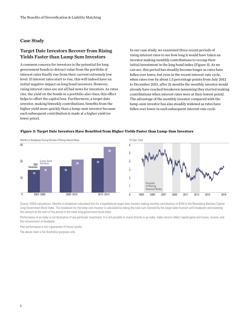## Case Study

# Target Date Investors Recover from Rising Yields Faster than Lump Sum Investors

A common concern for investors is the potential for long government bonds to detract value from the portfolio if interest rates finally rise from their current extremely low level. If interest rates start to rise, this will indeed have an initial negative impact on long bond investors. However, rising interest rates are not all bad news for investors. As rates rise, the yield on the bonds in a portfolio also rises; this effect helps to offset the capital loss. Furthermore, a target date investor, making biweekly contributions, benefits from the higher yield more quickly than a lump-sum investor because each subsequent contribution is made at a higher yield (or lower price).

In our case study, we examined three recent periods of rising interest rates to see how long it would have taken an investor making monthly contributions to recoup their initial investment in the long bond index (Figure 3). As we can see, this period has steadily become longer as rates have fallen ever lower, but even in the recent interest-rate cycle, when rates rose by about 1.5 percentage points from July 2012 to December 2013, after 21 months the monthly investor would already have reached breakeven (assuming they started making contributions when interest rates were at their lowest point). The advantage of the monthly investor compared with the lump-sum investor has also steadily widened as rates have fallen ever lower in each subsequent interest-rate cycle.

#### **Figure 3: Target Date Investors Have Benefited from Higher Yields Faster than Lump-Sum Investors**





Source: SSGA calculations. Months to breakeven calculated first for a hypothetical target date investor making monthly contributions of \$100 to the Bloomberg Barclays Capital Long Government Bond Index. The breakeven for the lump-sum investor is calculated by taking the total sum invested by the target date investor until breakeven and investing this amount at the start of the period in the same long government bond index.

Performance of an index is not illustrative of any particular investment. It is not possible to invest directly in an index. Index returns reflect capital gains and losses, income, and the reinvestment of dividends.

Past performance is not a guarantee of future results.

The above chart is for illustrative purposes only.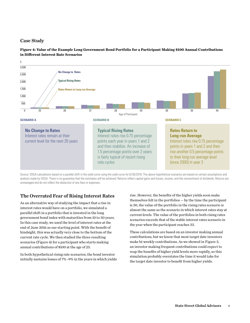## Case Study



**Figure 4: Value of the Example Long Government Bond Portfolio for a Participant Making \$100 Annual Contributions in Different Interest Rate Scenarios**

Source: SSGA calculations based on a parallel shift in the yield curve using the yield curve for 6/30/2016. The above hypothetical scenarios are based on certain assumptions and analysis made by SSGA. There is no guarantee that the estimates will be achieved. Returns reflect capital gains and losses, income, and the reinvestment of dividends. Returns are unmanaged and do not reflect the deduction of any fees or expenses.

# The Overrated Fear of Rising Interest Rates

As an alternative way of studying the impact that a rise in interest rates would have on a portfolio, we simulated a parallel shift in a portfolio that is invested in the long government bond index with maturities from 10 to 30 years. In this case study, we used the level of interest rates at the end of June 2016 as our starting point. With the benefit of hindsight, this was actually very close to the bottom of the current rate cycle. We then studied the three resulting scenarios (Figure 4) for a participant who starts making annual contributions of \$100 at the age of 25.

In both hypothetical rising rate scenarios, the bond investor initially sustains losses of 7%–9% in the years in which yields rise. However, the benefits of the higher yields soon make themselves felt in the portfolios — by the time the participant is 30, the value of the portfolio in the rising rates scenario is almost the same as the scenario in which interest rates stay at current levels. The value of the portfolios in both rising rates scenarios exceeds that of the stable interest rates scenario in the year when the participant reaches 33.

These calculations are based on an investor making annual contributions, but we know that most target date investors make bi-weekly contributions. As we showed in Figure 3, an investor making frequent contributions could expect to reap the benefits of higher yield levels more rapidly, so this simulation probably overstates the time it would take for the target date investor to benefit from higher yields.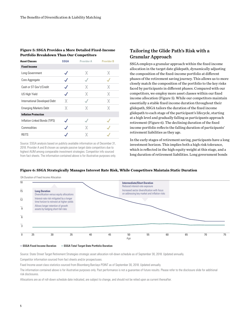#### **Figure 5: SSGA Provides a More Detailed Fixed-Income Portfolio Breakdown Than Our Competitors**

| <b>Asset Classes</b>          | <b>SSGA</b> | Provider A | <b>Provider B</b> |
|-------------------------------|-------------|------------|-------------------|
| <b>Fixed Income</b>           |             |            |                   |
| Long Government               |             | x          | x                 |
| Core Aggregate                |             |            |                   |
| Cash or ST Gov't/Credit       |             | x          | χ                 |
| US High Yield                 |             |            | Χ                 |
| International Developed Debt  | x           |            | Χ                 |
| <b>Emerging Markets Debt</b>  | Χ           | Χ          | X                 |
| <b>Inflation Protection</b>   |             |            |                   |
| Inflation-Linked Bonds (TIPS) |             |            |                   |
| Commodities                   |             |            |                   |
| REITS                         |             |            |                   |

Source: SSGA analysis based on publicly available information as of December 31, 2018. Provider A and B chosen as sample passive target date competitors due to highest AUM among comparable investment strategies. Competitor info sourced from fact sheets. The information contained above is for illustrative purposes only.

# Tailoring the Glide Path's Risk with a Granular Approach

SSGA employs a granular approach within the fixed income allocation in the target date glidepath, dynamically adjusting the composition of the fixed-income portfolio at different phases of the retirement saving journey. This allows us to more closely match the composition of the portfolio to the key risks faced by participants in different phases. Compared with our competitors, we employ more asset classes within our fixed income allocation (Figure 5). While our competitors maintain essentially a stable fixed income duration throughout their glidepath, SSGA tailors the duration of the fixed income glidepath to each stage of the participant's lifecycle, starting at a high level and gradually falling as participants approach retirement (Figure 6). The declining duration of the fixed income portfolio reflects the falling duration of participants' retirement liabilities as they age.

In the early stages of retirement saving, participants have a long investment horizon. This implies both a high risk tolerance, which is reflected in the high equity weight at this stage, and a long duration of retirement liabilities. Long government bonds

#### **Figure 6: SSGA Strategically Manages Interest Rate Risk, While Competitors Maintain Static Duration**

OA Duration of Fixed Income Allocation



— **SSGA Fixed Income Duration** — **SSGA Total Target Date Portfolio Duration**

Source: State Street Target Retirement Strategies strategic asset allocation roll-down schedule as of September 30, 2018. Updated annually.

Competitor information sourced from fact sheets and/or prospectuses.

Fixed Income asset class statistics sourced from Bloomberg Barclays POINT as of September 30, 2018. Updated annually.

The information contained above is for illustrative purposes only. Past performance is not a guarantee of future results. Please refer to the disclosure slide for additional risk disclosures.

Allocations are as of roll-down schedule date indicated, are subject to change, and should not be relied upon as current thereafter.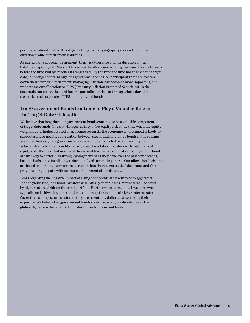perform a valuable role at this stage, both by diversifying equity risk and matching the duration profile of retirement liabilities.

As participants approach retirement, their risk tolerance and the duration of their liabilities typically fall. We start to reduce the allocation to long government bonds 10 years before the fund vintage reaches its target date. By the time the fund has reached the target date, it no longer contains any long government bonds. As participants prepare to draw down their savings in retirement, managing inflation risk becomes more important, and we increase our allocation to TIPS (Treasury Inflation Protected Securities). In the decumulation phase, the fixed income portfolio consists of the Agg, short-duration treasuries and corporates, TIPS and high-yield bonds.

# Long Government Bonds Continue to Play a Valuable Role in the Target Date Glidepath

We believe that long-duration government bonds continue to be a valuable component of target date funds for early vintages, as they offset equity risk at the time when the equity weight is at its highest. Based on academic research, the economic environment is likely to support a low or negative correlation between stocks and long-dated bonds in the coming years. In this case, long government bonds would be expected to continue to provide valuable diversification benefits to early stage target date investors with high levels of equity risk. It is true that in view of the current low level of interest rates, long-dated bonds are unlikely to perform as strongly going forward as they have over the past few decades, but this is also true for all longer-duration fixed income in general. Our allocation decisions are based on our long-term forecasts rather than short-term tactical decisions, and this provides our glidepath with an important element of consistency.

Fears regarding the negative impact of rising bond yields are likely to be exaggerated. If bond yields rise, long bond investors will initially suffer losses, but these will be offset by higher future yields on the bond portfolio. Furthermore, target date investors, who typically make biweekly contributions, could reap the benefits of higher interest rates faster than a lump-sum investor, as they are essentially dollar-cost averaging their exposure. We believe long government bonds continue to play a valuable role in the glidepath, despite the potential for rates to rise from current levels.